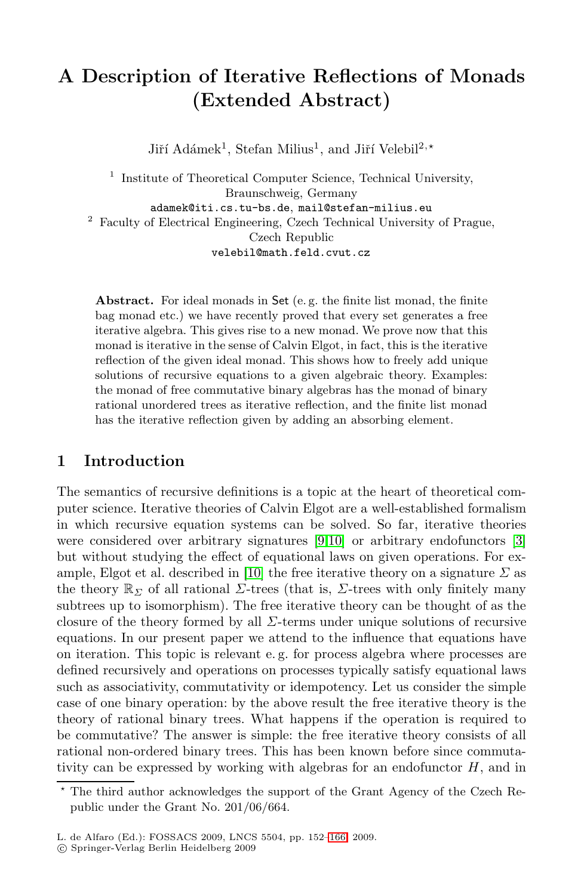# **A Description of Iterative Reflections of Monads (Extended Abstract)**

Jiří Adámek<sup>1</sup>, Stefan Milius<sup>1</sup>, and Jiří Velebil<sup>2,\*</sup>

 $^{\rm 1}$  Institute of Theoretical Computer Science, Technical University, Braunschweig, Germany adamek@iti.cs.tu-bs.de, mail@stefan-milius.eu <sup>2</sup> Faculty of Electrical Engineering, Czech Technical University of Prague, Czech Republic

velebil@math.feld.cvut.cz

**Abstract.** For ideal monads in Set (e. g. the finite list monad, the finite bag monad etc.) we have recently proved that every set generates a free iterative algebra. This gives rise to a new monad. We prove now that this monad is iterative in the sense of Calvin Elgot, in fact, this is the iterative reflection of the given ideal monad. This shows how to freely add unique solutions of recursive equations to a given algebraic theory. Examples: the monad of free commutative binary algebras has the monad of binary rational unordered trees as iterative reflection, and the finite list monad has the iterative reflection given by adding an absorbing element.

#### **1 Introduction**

The semantics of recursive definitions is a topic at the heart of theoretical computer science. Iterative theories of Calvin Elgot are a well-established formalism in which recursive equation systems can be solved. So far, iterative theories were considered over arbitrary signatures [\[9](#page-14-0)[,10\]](#page-14-1) or arbitrary endofunctors [\[3\]](#page-14-2) but without studying the effect of equational laws on given operations. For ex-ample, Elgot et al. described in [\[10\]](#page-14-1) the free iterative theory on a signature  $\Sigma$  as the theory  $\mathbb{R}_{\Sigma}$  of all rational  $\Sigma$ -trees (that is,  $\Sigma$ -trees with only finitely many subtrees up to isomorphism). The free iterative theory can be thought of as the closure of the theory formed by all  $\Sigma$ -terms under unique solutions of recursive equations. In our present paper we attend to the influence that equations have on iteration. This topic is relevant e. g. for process algebra where processes are defined recursively and operations on processes typically satisfy equational laws such as associativity, commutativity or idempotency. Let us consider the simple case of one binary operation: by the above result the free iterative theory is the theory of rational binary trees. What happens if the operation is required to be commutative? The answer is simple: the free iterative theory consists of all rational non-ordered binary trees. This has been known before since commutativity can be expressed by working with algebras for an endofunctor  $H$ , and in

<sup>\*</sup> The third author acknowledges the support of the Grant Agency of the Czech Republic under the Grant No. 201/06/664.

L. de Alfaro (Ed.): FOSSACS 2009, LNCS 5504, pp. 152[–166,](#page-14-3) 2009.

<sup>-</sup>c Springer-Verlag Berlin Heidelberg 2009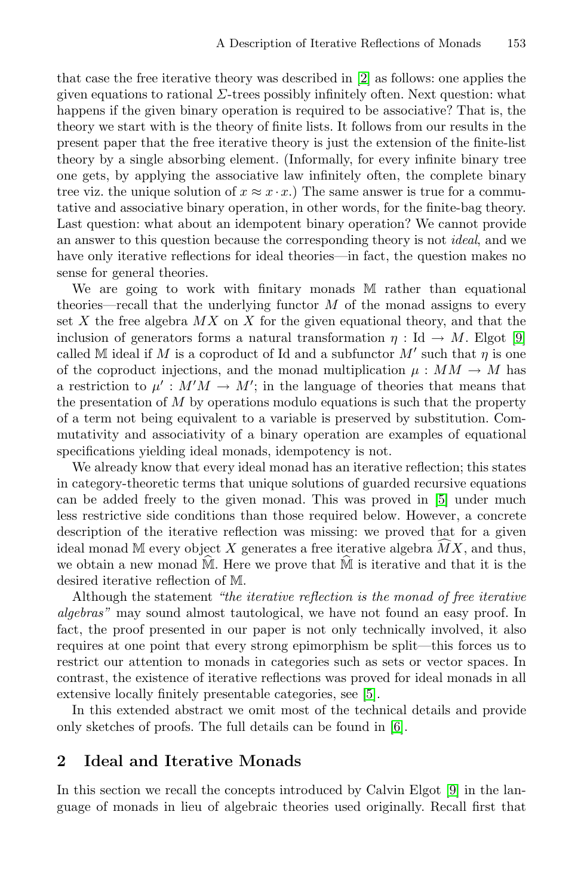that case the free iterative theory was described in [\[2\]](#page-14-4) as follows: one applies the given equations to rational  $\Sigma$ -trees possibly infinitely often. Next question: what happens if the given binary operation is required to be associative? That is, the theory we start with is the theory of finite lists. It follows from our results in the present paper that the free iterative theory is just the extension of the finite-list theory by a single absorbing element. (Informally, for every infinite binary tree one gets, by applying the associative law infinitely often, the complete binary tree viz. the unique solution of  $x \approx x \cdot x$ .) The same answer is true for a commutative and associative binary operation, in other words, for the finite-bag theory. Last question: what about an idempotent binary operation? We cannot provide an answer to this question because the corresponding theory is not *ideal*, and we have only iterative reflections for ideal theories—in fact, the question makes no sense for general theories.

We are going to work with finitary monads M rather than equational theories—recall that the underlying functor  $M$  of the monad assigns to every set X the free algebra  $MX$  on X for the given equational theory, and that the inclusion of generators forms a natural transformation  $\eta : \text{Id} \to M$ . Elgot [\[9\]](#page-14-0) called M ideal if M is a coproduct of Id and a subfunctor  $M'$  such that  $\eta$  is one of the coproduct injections, and the monad multiplication  $\mu : MM \to M$  has a restriction to  $\mu' : M'M \to M'$ ; in the language of theories that means that the presentation of M by operations modulo equations is such that the property of a term not being equivalent to a variable is preserved by substitution. Commutativity and associativity of a binary operation are examples of equational specifications yielding ideal monads, idempotency is not.

We already know that every ideal monad has an iterative reflection; this states in category-theoretic terms that unique solutions of guarded recursive equations can be added freely to the given monad. This was proved in [\[5\]](#page-14-5) under much less restrictive side conditions than those required below. However, a concrete description of the iterative reflection was missing: we proved that for a given can be added freely to the given monad. This was proved in [5] u<br>less restrictive side conditions than those required below. However,<br>description of the iterative reflection was missing: we proved that<br>ideal monad M every ideal monad M every object X generates a free iterative algebra  $MX$ , and thus, less restrictive side conditions than those required below. However, a concrete description of the iterative reflection was missing: we proved that for a given ideal monad M every object X generates a free iterative algeb desired iterative reflection of M.

Although the statement *"the iterative reflection is the monad of free iterative algebras"* may sound almost tautological, we have not found an easy proof. In fact, the proof presented in our paper is not only technically involved, it also requires at one point that every strong epimorphism be split—this forces us to restrict our attention to monads in categories such as sets or vector spaces. In contrast, the existence of iterative reflections was proved for ideal monads in all extensive locally finitely presentable categories, see [\[5\]](#page-14-5).

In this extended abstract we omit most of the technical details and provide only sketches of proofs. The full details can be found in [\[6\]](#page-14-6).

#### **2 Ideal and Iterative Monads**

In this section we recall the concepts introduced by Calvin Elgot [\[9\]](#page-14-0) in the language of monads in lieu of algebraic theories used originally. Recall first that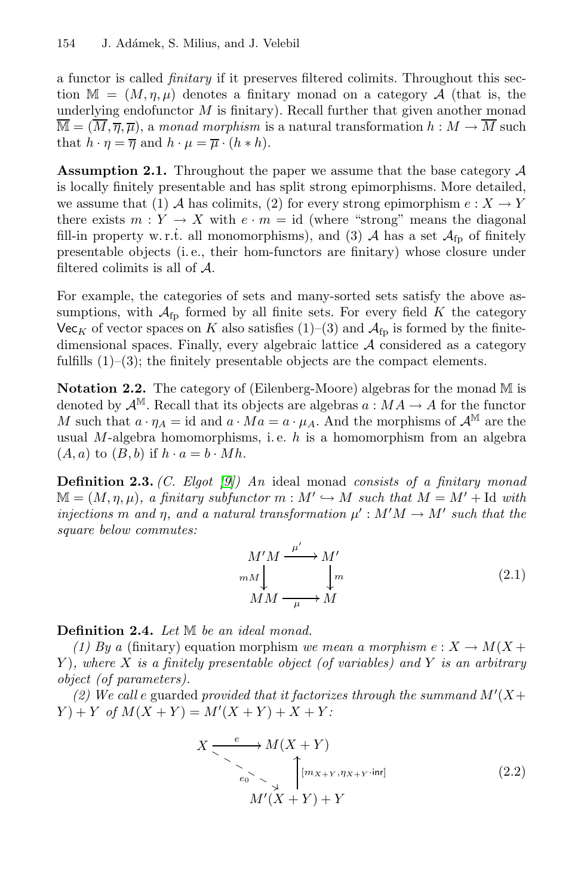a functor is called *finitary* if it preserves filtered colimits. Throughout this section  $\mathbb{M} = (M, \eta, \mu)$  denotes a finitary monad on a category A (that is, the underlying endofunctor  $M$  is finitary). Recall further that given another monad  $\overline{\mathbb{M}} = (\overline{M}, \overline{\eta}, \overline{\mu})$ , a *monad morphism* is a natural transformation  $h : M \to \overline{M}$  such that  $h \cdot \eta = \overline{\eta}$  and  $h \cdot \mu = \overline{\mu} \cdot (h * h)$ .

<span id="page-2-0"></span>**Assumption 2.1.** Throughout the paper we assume that the base category  $A$ is locally finitely presentable and has split strong epimorphisms. More detailed, we assume that (1) A has colimits, (2) for every strong epimorphism  $e: X \to Y$ there exists  $m: Y \to X$  with  $e \cdot m = id$  (where "strong" means the diagonal fill-in property w.r.t. all monomorphisms), and (3)  $\mathcal{A}$  has a set  $\mathcal{A}_{fp}$  of finitely presentable objects (i. e., their hom-functors are finitary) whose closure under filtered colimits is all of  $A$ .

For example, the categories of sets and many-sorted sets satisfy the above assumptions, with  $\mathcal{A}_{\text{fp}}$  formed by all finite sets. For every field K the category Vec<sub>K</sub> of vector spaces on K also satisfies  $(1)-(3)$  and  $\mathcal{A}_{fp}$  is formed by the finitedimensional spaces. Finally, every algebraic lattice A considered as a category fulfills  $(1)$ – $(3)$ ; the finitely presentable objects are the compact elements.

**Notation 2.2.** The category of (Eilenberg-Moore) algebras for the monad M is denoted by  $\mathcal{A}^{\mathbb{M}}$ . Recall that its objects are algebras  $a : MA \to A$  for the functor M such that  $a \cdot \eta_A = id$  and  $a \cdot Ma = a \cdot \mu_A$ . And the morphisms of  $\mathcal{A}^{\mathbb{M}}$  are the usual M-algebra homomorphisms, i.e.  $h$  is a homomorphism from an algebra  $(A, a)$  to  $(B, b)$  if  $h \cdot a = b \cdot Mh$ .

**Definition 2.3.** *(C. Elgot [\[9\]](#page-14-0)) An* ideal monad *consists of a finitary monad*  $M = (M, \eta, \mu)$ , a finitary subfunctor  $m : M' \hookrightarrow M$  such that  $M = M' + \text{Id}$  with *injections* m and  $\eta$ , and a natural transformation  $\mu' : M'M \to M'$  such that the *square below commutes:*

<span id="page-2-1"></span>
$$
M'M \xrightarrow{\mu'} M'
$$
  
\n
$$
mM \xrightarrow{\mu} M
$$
  
\n
$$
MM \xrightarrow{\mu} M
$$
 (2.1)

**Definition 2.4.** *Let* M *be an ideal monad.*

*(1) By a* (finitary) equation morphism *we mean a morphism*  $e: X \to M(X +$ Y )*, where* X *is a finitely presentable object (of variables) and* Y *is an arbitrary object (of parameters).*

(2) We call e guarded *provided that it factorizes through the summand*  $M'(X+)$  $Y$  + Y *of*  $M(X + Y) = M'(X + Y) + X + Y$ 

$$
X \xrightarrow{e} M(X+Y)
$$
  
\n
$$
e_0 \xrightarrow{\phantom{e}} M'(\overline{X}+Y) + Y
$$
  
\n
$$
M'(X+Y) + Y
$$
\n(2.2)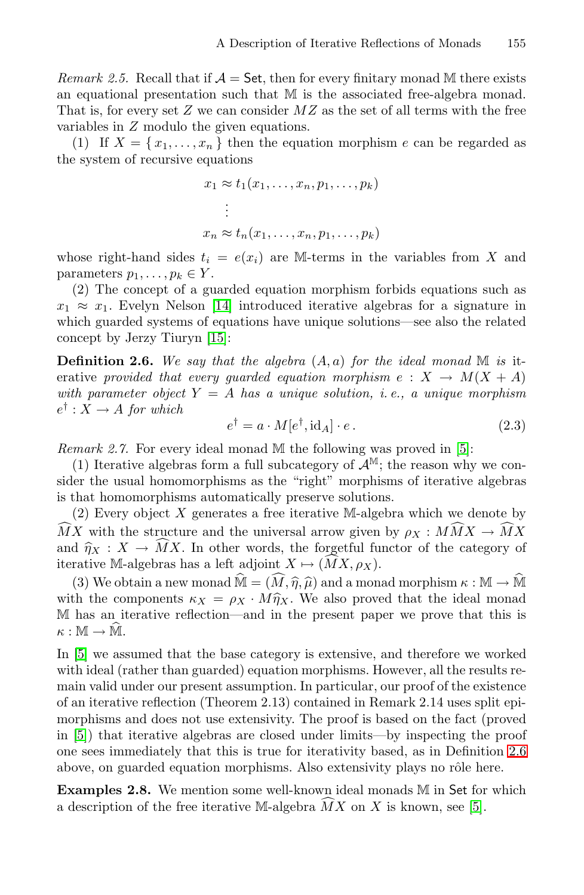*Remark 2.5.* Recall that if  $\mathcal{A} =$  Set, then for every finitary monad M there exists an equational presentation such that M is the associated free-algebra monad. That is, for every set  $Z$  we can consider  $MZ$  as the set of all terms with the free variables in Z modulo the given equations.

(1) If  $X = \{x_1, \ldots, x_n\}$  then the equation morphism e can be regarded as the system of recursive equations

$$
x_1 \approx t_1(x_1, \dots, x_n, p_1, \dots, p_k)
$$
  
\n
$$
\vdots
$$
  
\n
$$
x_n \approx t_n(x_1, \dots, x_n, p_1, \dots, p_k)
$$

whose right-hand sides  $t_i = e(x_i)$  are M-terms in the variables from X and parameters  $p_1, \ldots, p_k \in Y$ .

(2) The concept of a guarded equation morphism forbids equations such as  $x_1 \approx x_1$ . Evelyn Nelson [\[14\]](#page-14-7) introduced iterative algebras for a signature in which guarded systems of equations have unique solutions—see also the related concept by Jerzy Tiuryn [\[15\]](#page-14-8):

<span id="page-3-0"></span>**Definition 2.6.** We say that the algebra  $(A, a)$  for the ideal monad  $M$  is iterative *provided that every quarded equation morphism*  $e: X \to M(X + A)$ *with parameter object* Y = A *has a unique solution, i. e., a unique morphism*  $e^{\dagger}: X \to A$  *for which* 

$$
e^{\dagger} = a \cdot M[e^{\dagger}, \text{id}_A] \cdot e. \tag{2.3}
$$

<span id="page-3-2"></span>*Remark 2.7.* For every ideal monad M the following was proved in [\[5\]](#page-14-5):

(1) Iterative algebras form a full subcategory of  $\mathcal{A}^{\mathbb{M}}$ ; the reason why we consider the usual homomorphisms as the "right" morphisms of iterative algebras is that homomorphisms automatically preserve solutions.

(2) Every object X generates a free iterative M-algebra which we denote by state the usual nomomorphisms as the "right" morphisms of iterative algebras<br>
is that homomorphisms automatically preserve solutions.<br>
(2) Every object X generates a free iterative M-algebra which we denote by<br>  $\widehat{MX}$  w is that nonomorphisms automatically preserve solu<br>
(2) Every object X generates a free iterative M-a<br>  $\widehat{M}X$  with the structure and the universal arrow giv<br>
and  $\widehat{\eta}_X : X \to \widehat{M}X$ . In other words, the forgetful<br>
iter MX. In other words, the forgetful functor of the category of  $MX, \rho_X$ ).  $\Lambda$  with the structure and the universal arrow given by  $\rho_X : M M \Lambda \to M \Lambda$ <br>d  $\hat{\eta}_X : X \to \hat{M} X$ . In other words, the forgetful functor of the category of<br>rative M-algebras has a left adjoint  $X \mapsto (\hat{M} X, \rho_X)$ .<br>(3) We obtain

iterative M-algebras has a left adjoint  $X \mapsto (\overline{M}X, \rho_X)$ .<br>
(3) We obtain a new monad  $\widehat{M} = (\widehat{M}, \widehat{\eta}, \widehat{\mu})$  and a monad morphism  $\kappa : \mathbb{M} \to \widehat{\mathbb{M}}$ <br>
with the components  $\kappa_X = \rho_X \cdot M\widehat{\eta}_X$ . We also proved tha M has an iterative reflection—and in the present paper we prove that this is (3) We of<br>with the co<br>M has an i<br> $\kappa : \mathbb{M} \to \hat{\mathbb{M}}$ .

In [\[5\]](#page-14-5) we assumed that the base category is extensive, and therefore we worked with ideal (rather than guarded) equation morphisms. However, all the results remain valid under our present assumption. In particular, our proof of the existence of an iterative reflection (Theorem 2.13) contained in Remark 2.14 uses split epimorphisms and does not use extensivity. The proof is based on the fact (proved in [\[5\]](#page-14-5)) that iterative algebras are closed under limits—by inspecting the proof one sees immediately that this is true for iterativity based, as in Definition [2.6](#page-3-0) above, on guarded equation morphisms. Also extensivity plays no rôle here.

<span id="page-3-1"></span>**Examples 2.8.** We mention some well-known ideal monads M in Set for which above, on guarded equation morphisms. Also extensivity plays no rôle he<br>**Examples 2.8.** We mention some well-known ideal monads M in Set for<br>a description of the free iterative M-algebra  $\widehat{MX}$  on X is known, see [\[5\]](#page-14-5).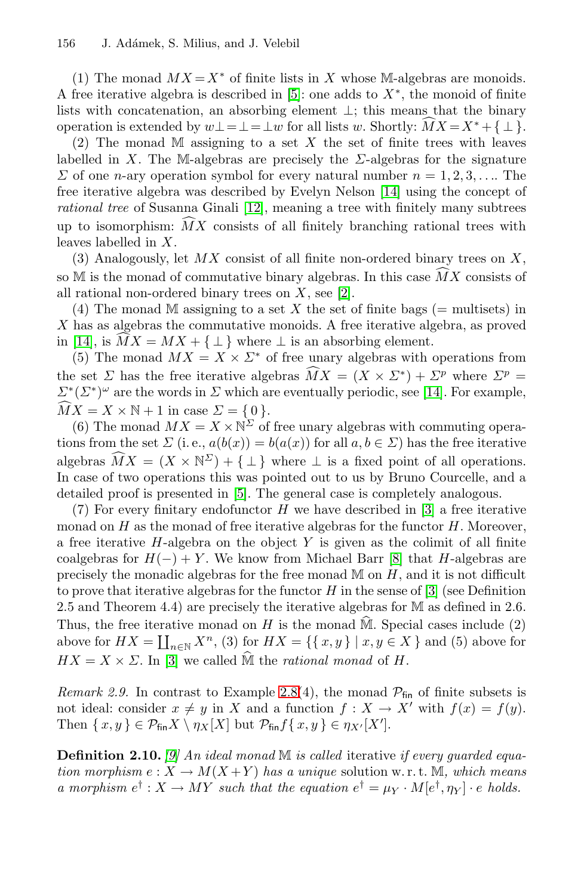(1) The monad  $MX = X^*$  of finite lists in X whose M-algebras are monoids. A free iterative algebra is described in [\[5\]](#page-14-5): one adds to  $X^*$ , the monoid of finite lists with concatenation, an absorbing element ⊥; this means that the binary (1) The monad  $MX = X^*$  of finite lists in X whose M-algebras are monoids.<br>A free iterative algebra is described in [5]: one adds to  $X^*$ , the monoid of finite lists with concatenation, an absorbing element  $\bot$ ; this mean

(2) The monad M assigning to a set  $X$  the set of finite trees with leaves labelled in X. The M-algebras are precisely the  $\Sigma$ -algebras for the signature  $\Sigma$  of one *n*-ary operation symbol for every natural number  $n = 1, 2, 3, \ldots$  The free iterative algebra was described by Evelyn Nelson [\[14\]](#page-14-7) using the concept of *rational tree* of Susanna Ginali [\[12\]](#page-14-9), meaning a tree with finitely many subtrees  $\omega$  or one *n*-ary operation symbol for every natural number  $n = 1, 2, 3, \ldots$  The free iterative algebra was described by Evelyn Nelson [14] using the concept of *rational tree* of Susanna Ginali [12], meaning a tree wit leaves labelled in X.

(3) Analogously, let  $MX$  consist of all finite non-ordered binary trees on  $X$ , up to isomorphism:  $MX$  consists of all finitely branching rational<br>leaves labelled in X.<br>(3) Analogously, let  $MX$  consist of all finite non-ordered binary to<br>so M is the monad of commutative binary algebras. In this case so M is the monad of commutative binary algebras. In this case  $\overline{MX}$  consists of all rational non-ordered binary trees on  $X$ , see [\[2\]](#page-14-4).

(4) The monad M assigning to a set X the set of finite bags (= multisets) in X has as algebras the commutative monoids. A free iterative algebra, as proved all rational no<br>
(4) The mo:<br>
X has as algeb<br>
in [\[14\]](#page-14-7), is  $\widehat{M}X$ in [14], is  $\overline{MX} = \overline{MX} + {\perp}$  where  $\perp$  is an absorbing element.

(5) The monad  $MX = X \times \Sigma^*$  of free unary algebras with operations from A has as algebras the commutative monoids.  $H$ <br>in [14], is  $\widehat{M}X = MX + \{\perp\}$  where  $\perp$  is an a<br>(5) The monad  $MX = X \times \Sigma^*$  of free una<br>the set  $\Sigma$  has the free iterative algebras  $\widehat{M}X$  $MX = (X \times \Sigma^*) + \Sigma^p$  where  $\Sigma^p =$  $\Sigma^*(\Sigma^*)^\omega$  are the words in  $\Sigma$  which are eventually periodic, see [\[14\]](#page-14-7). For example,  $\mathcal{L}^*$ <br>the s<br> $\sum^* (\widehat{MX})$  $MX = X \times N + 1$  in case  $\Sigma = \{0\}.$ 

(6) The monad  $MX = X \times N^{\Sigma}$  of free unary algebras with commuting operations from the set  $\Sigma$  (i.e.,  $a(b(x)) = b(a(x))$  for all  $a, b \in \Sigma$ ) has the free iterative  $M X = X \times Y$ <br>(6) The mc<br>tions from the<br>algebras  $\widehat{M} X$ algebras  $\widehat{M}X = (X \times \mathbb{N}^{\Sigma}) + \{\perp\}$  where  $\perp$  is a fixed point of all operations. In case of two operations this was pointed out to us by Bruno Courcelle, and a detailed proof is presented in [\[5\]](#page-14-5). The general case is completely analogous.

(7) For every finitary endofunctor H we have described in [\[3\]](#page-14-2) a free iterative monad on  $H$  as the monad of free iterative algebras for the functor  $H$ . Moreover, a free iterative  $H$ -algebra on the object Y is given as the colimit of all finite coalgebras for  $H(-) + Y$ . We know from Michael Barr [\[8\]](#page-14-10) that H-algebras are precisely the monadic algebras for the free monad  $M$  on  $H$ , and it is not difficult to prove that iterative algebras for the functor  $H$  in the sense of [\[3\]](#page-14-2) (see Definition 2.5 and Theorem 4.4) are precisely the iterative algebras for M as defined in 2.6. Thus, the free iterative monad on H is the monad  $\hat{M}$ . Special cases include (2) to prove that iterative algebras for the functor *H* in the sense of [\[3\]](#page-14-2) (see Definition 2.5 and Theorem 4.4) are precisely the iterative algebras for M as defined in 2.6.<br>Thus, the free iterative monad on *H* is the mona

*Remark 2.9.* In contrast to Example [2.8\(](#page-3-1)4), the monad  $\mathcal{P}_{fin}$  of finite subsets is not ideal: consider  $x \neq y$  in X and a function  $f : X \to X'$  with  $f(x) = f(y)$ . Then  $\{x, y\} \in \mathcal{P}_{\text{fin}}X \setminus \eta_X[X]$  but  $\mathcal{P}_{\text{fin}}f\{x, y\} \in \eta_{X'}[X']$ .

<span id="page-4-0"></span>**Definition 2.10.** *[\[9\]](#page-14-0) An ideal monad* M *is called* iterative *if every guarded equation morphism*  $e: X \to M(X+Y)$  *has a unique* solution w.r.t. M, which means *a morphism*  $e^{\dagger}$  :  $X \to MY$  *such that the equation*  $e^{\dagger} = \mu_Y \cdot M[e^{\dagger}, \eta_Y] \cdot e$  *holds.*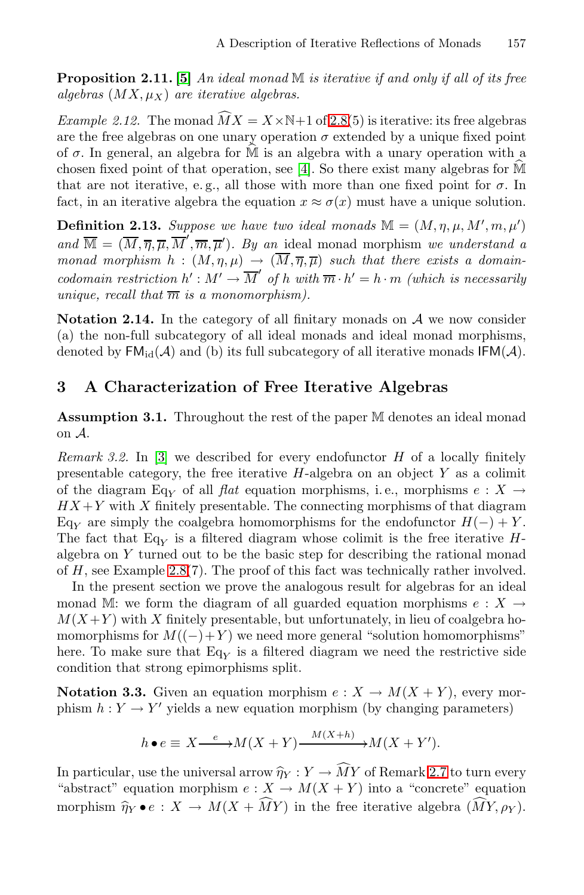**Proposition 2.11. [\[5\]](#page-14-5)** *An ideal monad* M *is iterative if and only if all of its free*  $algebras (MX, \mu_X)$  *are iterative algebras.* **Proposition 2.11.** [5] An ideal algebras  $(MX, \mu_X)$  are iterative<br>*Example 2.12.* The monad  $\widehat{M}X$ 

*Example 2.12.* The monad  $\widehat{M}X = X \times \mathbb{N}+1$  of [2.8\(](#page-3-1)5) is iterative: its free algebras are the free algebras on one unary operation  $\sigma$  extended by a unique fixed point of  $\sigma$ . In general, an algebra for  $\widehat{M}$  is are the free algebras on one unary operation  $\sigma$  extended by a unique fixed point *Example 2.12.* The monad  $MX = X \times N+1$  of 2.8(5) is iterative: its free algebras are the free algebras on one unary operation  $\sigma$  extended by a unique fixed point of  $\sigma$ . In general, an algebra for M is an algebra with a that are not iterative, e.g., all those with more than one fixed point for  $\sigma$ . In fact, in an iterative algebra the equation  $x \approx \sigma(x)$  must have a unique solution.

**Definition 2.13.** *Suppose we have two ideal monads*  $M = (M, \eta, \mu, M', m, \mu')$ and  $\overline{M} = (\overline{M}, \overline{\eta}, \overline{\mu}, \overline{M}', \overline{m}, \overline{\mu}')$ *. By an* ideal monad morphism *we understand a monad morphism*  $h : (M, \eta, \mu) \to (\overline{M}, \overline{\eta}, \overline{\mu})$  such that there exists a domain*codomain restriction*  $h' : M' \to \overline{M}'$  of h with  $\overline{m} \cdot h' = h \cdot m$  *(which is necessarily unique, recall that*  $\overline{m}$  *is a monomorphism*).

**Notation 2.14.** In the category of all finitary monads on  $A$  we now consider (a) the non-full subcategory of all ideal monads and ideal monad morphisms, denoted by  $FM_{id}(\mathcal{A})$  and (b) its full subcategory of all iterative monads  $IFM(\mathcal{A})$ .

#### <span id="page-5-0"></span>**3 A Characterization of Free Iterative Algebras**

**Assumption 3.1.** Throughout the rest of the paper M denotes an ideal monad on A.

*Remark 3.2.* In [\[3\]](#page-14-2) we described for every endofunctor H of a locally finitely presentable category, the free iterative  $H$ -algebra on an object  $Y$  as a colimit of the diagram Eq<sub>Y</sub> of all *flat* equation morphisms, i.e., morphisms  $e: X \rightarrow H X + V$  with X finitely presentable. The connecting morphisms of that diagram  $H X + Y$  with X finitely presentable. The connecting morphisms of that diagram Eq<sub>Y</sub> are simply the coalgebra homomorphisms for the endofunctor  $H(-) + Y$ .<br>The fact that Eq. is a filtered diagram whose colimit is the free iterative H The fact that  $Eq_V$  is a filtered diagram whose colimit is the free iterative H-<br>algebra on V turned out to be the basic step for describing the rational monod algebra on Y turned out to be the basic step for describing the rational monad of H, see Example [2.8\(](#page-3-1)7). The proof of this fact was technically rather involved.

In the present section we prove the analogous result for algebras for an ideal monad M: we form the diagram of all guarded equation morphisms  $e: X \rightarrow$  $M(X+Y)$  with X finitely presentable, but unfortunately, in lieu of coalgebra homomorphisms for  $M((-) + Y)$  we need more general "solution homomorphisms" here. To make sure that  $Eq<sub>Y</sub>$  is a filtered diagram we need the restrictive side<br>condition that strong originary split condition that strong epimorphisms split.

**Notation 3.3.** Given an equation morphism  $e: X \to M(X+Y)$ , every morphism  $h: Y \to Y'$  yields a new equation morphism (by changing parameters)

$$
h \bullet e \equiv X \xrightarrow{e} M(X+Y) \xrightarrow{M(X+h)} M(X+Y').
$$

 $h \bullet e \equiv X \xrightarrow{e} M(X+Y) \xrightarrow{M(X+h)} M(X+Y').$ <br>In particular, use the universal arrow  $\hat{\eta}_Y : Y \to \widehat{M}Y$  of Remark [2.7](#page-3-2) to turn every<br>"shatneet" equation membian  $g: Y \to \widehat{M}'(X+Y)$  into a "congrate" equation "abstract" equation morphism  $e: X \to M(X + Y)$  into a "concrete" equation In particular, use the universal arrow  $\hat{\eta}_Y : Y \to \widehat{M}Y$  of Remark 2.7 to turn ev<br>"abstract" equation morphism  $e : X \to M(X + Y)$  into a "concrete" equat<br>morphism  $\hat{\eta}_Y \bullet e : X \to M(X + \widehat{M}Y)$  in the free iterative algebra  $(\widehat{$  $MY, \rho_Y$ ).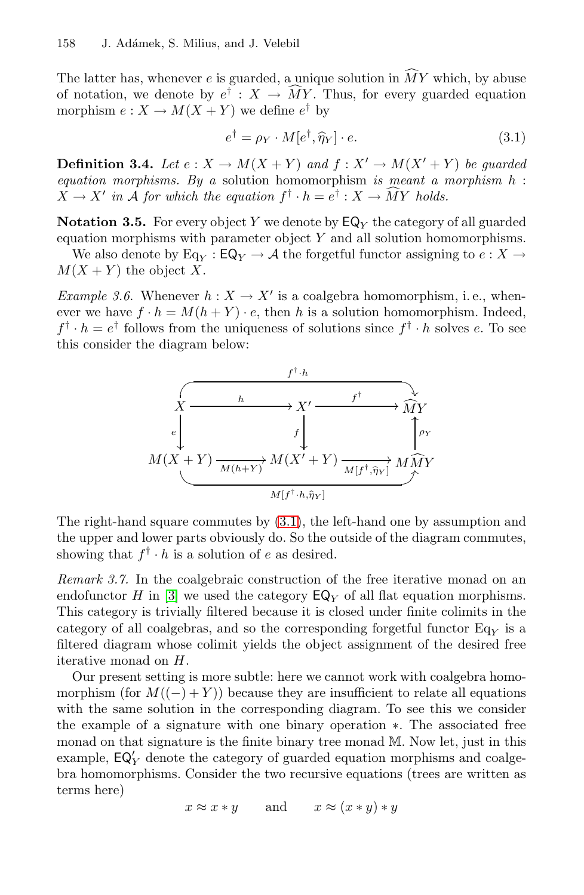158 J. Adámek, S. Milius, and J. Velebil<br>The latter has, whenever *e* is guarded, a unique solution in  $\widehat{M}Y$  which, by abuse The latter has, whenever *e* is guarded, a unique solution in  $\widehat{M}Y$  which, by abuse<br>of notation, we denote by  $e^{\dagger}$  :  $X \to \widehat{M}Y$ . Thus, for every guarded equation<br>morphism  $e : X \to M(X + Y)$  we define  $e^{\dagger}$  by<br> $e^{\d$ morphism  $e: X \to M(X+Y)$  we define  $e^{\dagger}$  by

<span id="page-6-0"></span>
$$
e^{\dagger} = \rho_Y \cdot M[e^{\dagger}, \hat{\eta}_Y] \cdot e. \tag{3.1}
$$

**Definition 3.4.** *Let*  $e: X \to M(X+Y)$  *and*  $f: X' \to M(X'+Y)$  *be quarded equation morphisms. By a* solution homomorphism *is meant a morphism* h : **Definition 3.4.** Let  $e: X \to M(X + Y)$  and  $f: X' \to M(e)$ <br>equation morphisms. By a solution homomorphism is me<br> $X \to X'$  in A for which the equation  $f^{\dagger} \cdot h = e^{\dagger} : X \to \widehat{M}Y$  $X \to X'$  in A for which the equation  $f^{\dagger} \cdot h = e^{\dagger} : X \to \widehat{M}Y$  holds.

**Notation 3.5.** For every object Y we denote by  $\mathsf{EQ}_Y$  the category of all guarded equation morphisms with parameter object  $Y$  and all solution homomorphisms.

We also denote by Eq<sub>Y</sub> :  $EQ_Y \rightarrow A$  the forgetful functor assigning to  $e : X \rightarrow (X + Y)$  the object Y  $M(X + Y)$  the object X.

*Example 3.6.* Whenever  $h: X \to X'$  is a coalgebra homomorphism, i.e., whenever we have  $f \cdot h = M(h + Y) \cdot e$ , then h is a solution homomorphism. Indeed,  $f^{\dagger} \cdot h = e^{\dagger}$  follows from the uniqueness of solutions since  $f^{\dagger} \cdot h$  solves e. To see this consider the diagram below:



The right-hand square commutes by [\(3.1\)](#page-6-0), the left-hand one by assumption and the upper and lower parts obviously do. So the outside of the diagram commutes, showing that  $f^{\dagger} \cdot h$  is a solution of e as desired.

*Remark 3.7.* In the coalgebraic construction of the free iterative monad on an endofunctor H in [\[3\]](#page-14-2) we used the category  $\mathsf{EQ}_Y$  of all flat equation morphisms. This category is trivially filtered because it is closed under finite colimits in the category of all coalgebras, and so the corresponding forgetful functor  $Eq<sub>Y</sub>$  is a<br>filtered diagram whose columit viable the object assignment of the desired free filtered diagram whose colimit yields the object assignment of the desired free iterative monad on H.

Our present setting is more subtle: here we cannot work with coalgebra homomorphism (for  $M((-) + Y)$ ) because they are insufficient to relate all equations with the same solution in the corresponding diagram. To see this we consider the example of a signature with one binary operation ∗. The associated free monad on that signature is the finite binary tree monad M. Now let, just in this example,  $EQ'_{Y}$  denote the category of guarded equation morphisms and coalge-<br>has homomorphisms. Consider the two requisive equations (trees are written as bra homomorphisms. Consider the two recursive equations (trees are written as terms here)

 $x \approx x * y$  and  $x \approx (x * y) * y$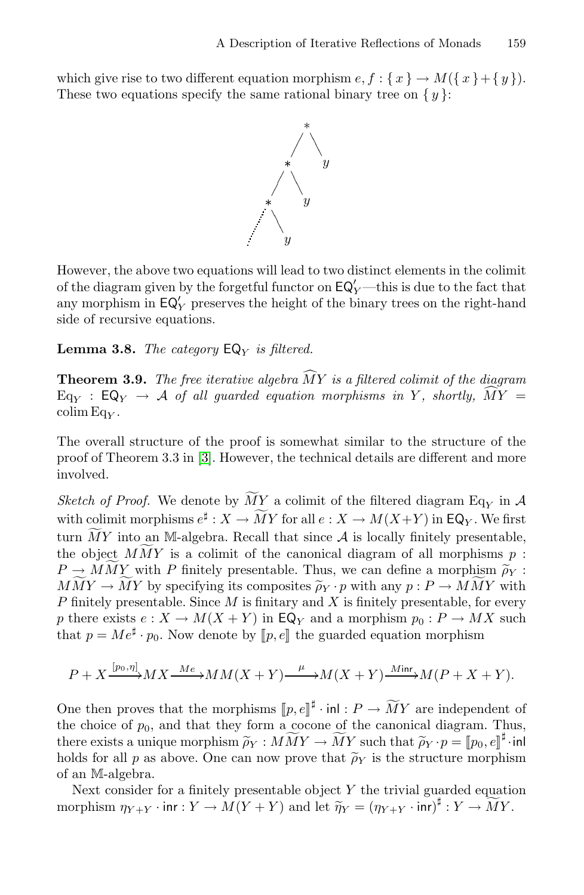which give rise to two different equation morphism  $e, f: \{x\} \to M(\{x\} + \{y\}).$ These two equations specify the same rational binary tree on  $\{y\}$ :



However, the above two equations will lead to two distinct elements in the colimit of the diagram given by the forgetful functor on  $EQ'_{Y}$ —this is due to the fact that<br>any morphism in  $EQ'$ , presence the height of the binary trees on the right hand any morphism in  $EQ'_{Y}$  preserves the height of the binary trees on the right-hand<br>side of requiring equations side of recursive equations.

<span id="page-7-0"></span>**Lemma 3.8.** *The category*  $EQ<sub>Y</sub>$  *is filtered.* 

<span id="page-7-1"></span>**Lemma 3.8.** *The category*  $EQ_Y$  *is filtered.*<br>**Theorem 3.9.** *The free iterative algebra*  $\widehat{MY}$  *is a filtered colimit of the diagram* **Lemma 3.8.** The category  $EQ_Y$  is filtered.<br> **Theorem 3.9.** The free iterative algebra  $\widehat{MY}$  is a filtered colimit of the diagram<br>  $Eq_Y : Eq_Y \rightarrow A$  of all guarded equation morphisms in Y, shortly,  $\widehat{MY} =$ <br>  $G^{\text{lim}}$  $\operatorname{colim} \mathrm{Eq}_Y$ .

The overall structure of the proof is somewhat similar to the structure of the proof of Theorem 3.3 in [\[3\]](#page-14-2). However, the technical details are different and more involved. proof of Theorem 3.3 in [3]. However, the technical details are different and more<br>involved.<br>*Sketch of Proof.* We denote by  $\widetilde{M}Y$  a colimit of the filtered diagram Eq<sub>Y</sub> in A

involved.<br>
Sketch of Proof. We denote by  $\widetilde{M}Y$  a colimit of the filtered diagram Eq<sub>Y</sub> in  $\mathcal{A}$  with colimit morphisms  $e^{\sharp}: X \to \widetilde{M}Y$  for all  $e: X \to M(X+Y)$  in EQ<sub>Y</sub>. We first turn  $\widetilde{M}Y$  into an M-algebra. with colimit morphisms  $e^{\sharp}: X \to \widetilde{M}Y$  for all  $e: X \to M(X+Y)$  in EQ<sub>Y</sub>. We first<br>turn  $\widetilde{M}Y$  into an M-algebra. Recall that since A is locally finitely presentable,<br>the object  $M\widetilde{M}Y$  is a colimit of the canonica with columit morphisms  $e^* : A \to MY$  for all  $e : A \to M(X+Y)$  in EQ<sub>Y</sub>. We first<br>turn  $\widetilde{M}Y$  into an M-algebra. Recall that since  $A$  is locally finitely presentable,<br>the object  $\widetilde{M}Y$  is a colimit of the canonical diag turn MY into an M-algebra. Recall that since A is locally inntely presentable,<br>the object  $\widehat{M}MY$  is a colimit of the canonical diagram of all morphisms  $p : P \to \widehat{M}Y$  with P finitely presentable. Thus, we can define a P finitely presentable. Since  $M$  is finitary and  $X$  is finitely presentable, for every p there exists  $e: X \to M(X + Y)$  in  $\mathsf{EQ}_Y$  and a morphism  $p_0: P \to MX$  such that  $p = Me^{\sharp} \cdot p_0$ . Now denote by  $[p, e]$  the guarded equation morphism

$$
P + X \xrightarrow{[p_0, \eta]} MX \xrightarrow{Me} MM(X + Y) \xrightarrow{\mu} M(X + Y) \xrightarrow{Minr} M(P + X + Y).
$$
  
One then proves that the morphisms  $[p, e]^{\sharp} \cdot \text{inl} : P \to \widetilde{M}Y$  are independent of

The choice of  $p_0$ , and that they form a cocone of the canonical diagram. Thus, there exists a unique morphism  $\tilde{\rho}_Y : M\tilde{M}Y \to \tilde{M}Y$  such that  $\tilde{\rho}_Y \cdot p = [p_0, e]^{\sharp} \cdot \text{inl}$  holds for all p as above. One can now p One then proves that the morphisms  $[\![p,e]\!]^{\sharp} \cdot \text{inl} : P \to \widetilde{M}Y$  are indep<br>the choice of  $p_0$ , and that they form a cocone of the canonical diagra<br>there exists a unique morphism  $\widetilde{\rho}_Y : M\widetilde{M}Y \to \widetilde{M}Y$  such tha  $p_0,e]\!]^\sharp\!\cdot\!$ inl of an M-algebra.

Next consider for a finitely presentable object  $Y$  the trivial guarded equation holds for all p as above. One can now prove that  $\rho_Y$  is the structure morphis<br>of an M-algebra.<br>Next consider for a finitely presentable object Y the trivial guarded equation<br>morphism  $\eta_{Y+Y} \cdot \text{inr} : Y \to M(Y+Y)$  and let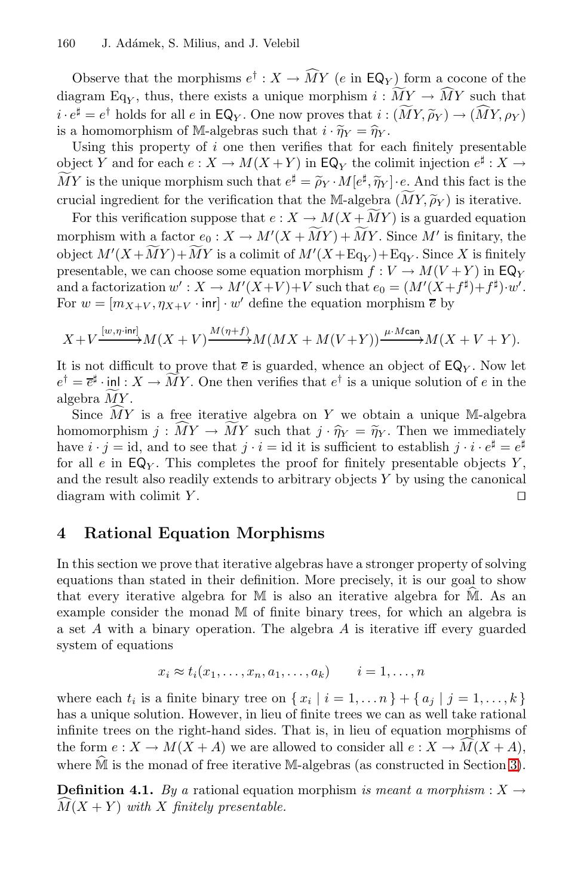J. Adámek, S. Milius, and J. Velebil<br>
Observe that the morphisms  $e^{\dagger}$  :  $X \to \widehat{M}Y$  ( $e$  in  $\mathsf{EQ}_Y$ ) form a cocone of the diagram Eq<sub>V</sub>, thus, there exists a unique morphism  $i: MY \to MY$  such that that the morphisms  $e^{\dagger}$  :  $X \to \widehat{M}Y$  ( $e$  in  $EQ_Y$ ) form a co<br>  $Y$ , thus, there exists a unique morphism  $i : \widetilde{M}Y \to \widehat{M}Y$ <br>  $i : 11 + 6$  and  $i : 50$ . One again we see that  $i : (\widetilde{M}Y \widetilde{S})$ Observe that the morphisms  $e^{\dagger}$  :  $X \to \widehat{M}Y$  ( $e$  in EQ<sub>Y</sub>) form a cocone of t<br>diagram Eq<sub>Y</sub>, thus, there exists a unique morphism  $i : \widetilde{M}Y \to \widehat{M}Y$  such th<br> $i \cdot e^{\sharp} = e^{\dagger}$  holds for all  $e$  in EQ<sub>Y</sub>. One now  $MY, \rho_Y)$ diagram Eq<sub>Y</sub>, thus, there exists a unique morphism  $i :$ <br>  $i \cdot e^{\sharp} = e^{\dagger}$  holds for all e in EQ<sub>Y</sub>. One now proves that  $i :$ <br>
is a homomorphism of M-algebras such that  $i \cdot \widetilde{\eta}_Y = \widehat{\eta}_Y$ .

Using this property of  $i$  one then verifies that for each finitely presentable object Y and for each  $e: X \to M(X+Y)$  in  $\mathsf{EQ}_Y$  the colimit injection  $e^{\sharp}: X \to \widetilde{M}(X+Y)$ is a nomomorphism of  $\mathbb{M}$ -algebras such that  $i \cdot \eta_Y = \eta_Y$ .<br>Using this property of *i* one then verifies that for each finitely presentable<br>object Y and for each  $e : X \to M(X + Y)$  in  $\mathsf{EQ}_Y$  the colimit injection  $e^{\sharp} : X$ comes that for each interpretation of each interpretation object Y and for each  $e : X \to M(X + Y)$  in EQ<sub>Y</sub> the colimit injection  $e^{\sharp} : X - \widetilde{M}Y$  is the unique morphism such that  $e^{\sharp} = \widetilde{\rho}_Y \cdot M[e^{\sharp}, \widetilde{\eta}_Y] \cdot e$ . And thi  $\widetilde{MY}$  is the unique morphism such that  $e^{\sharp} = \widetilde{\rho}_Y \cdot M[e^{\sharp}, \widetilde{\eta}_Y] \cdot e$ . And this fact is the crucial ingredient for the verification that the M-algebra  $(MY, \widetilde{\rho}_Y)$  is iterative.

morphism with a factor  $e_0 : X \to M'(X + MY) + MY$ . Since M' is finitary, the object  $M'(X+MY)+MY$  is a colimit of  $M'(X+Eq_Y)+Eq_Y$ . Since X is finitely<br>presentable we can choose some equation merabism  $f: V \to M(U+V)$  in  $\mathsf{FQ}_Y$ . For this verification suppose that  $e: X \to M(X+MY)$  is a guarded equation presentable, we can choose some equation morphism  $f: V \to M(V+Y)$  in  $\text{EQ}_Y$ and a factorization  $w' : X \to M'(X+V)+V$  such that  $e_0 = (M'(X+f^{\sharp})+f^{\sharp})\cdot w'.$ For  $w = [m_{X+V}, \eta_{X+V} \cdot \text{inr}] \cdot w'$  define the equation morphism  $\overline{e}$  by

$$
X+V\xrightarrow{[w,\eta\text{-}\!\operatorname{inr}]} M(X+V)\xrightarrow{M(\eta+f)} M(MX+M(V+Y))\xrightarrow{\mu\text{-}\!\operatorname{Mcan}} M(X+V+Y).
$$

 $X + V \xrightarrow{[w, \eta + m\tau]} M(X + V) \xrightarrow{M(\eta + f)} M(MX + M(V + Y)) \xrightarrow{\mu \cdot M \text{ can}} M(X + V + Y).$ <br>It is not difficult to prove that  $\overline{e}$  is guarded, whence an object of  $\mathsf{EQ}_Y$ . Now let  $e^{\dagger} = \overline{e}^{\sharp} \cdot \text{in} \setminus X \to \overline{M}Y$ . One then verifies that It is not diffier<br>  $e^{\dagger} = \overline{e}^{\sharp} \cdot \text{inl}$ :<br>
algebra  $\overline{M}Y$ .  $e^{\dagger} = \overline{e}^{\sharp} \cdot \text{inl} : X \to \overline{M}Y$ . One then verifies that  $e^{\dagger}$  is a unique solution of  $e$  in the algebra  $\overline{M}Y$ .

Since  $MY$  is a free iterative algebra on Y we obtain a unique M-algebra  $e' = \overline{e^*} \cdot \text{in} \quad : X \to MY$ . One then verifies that  $e'$  is a unique solution of  $e$  in the algebra  $\widetilde{MY}$ .<br>
Since  $\widetilde{MY}$  is a free iterative algebra on  $Y$  we obtain a unique M-algebra<br>
homomorphism  $j : \widetilde{MY} \to \widet$ have  $i \cdot j = id$ , and to see that  $j \cdot i = id$  it is sufficient to establish  $j \cdot i \cdot e^{\sharp} = e^{\sharp}$ for all e in  $EQ<sub>Y</sub>$ . This completes the proof for finitely presentable objects Y, and the result also readily extends to arbitrary objects  $Y$  by using the canonical diagram with colimit Y.  $\Box$ 

### <span id="page-8-0"></span>**4 Rational Equation Morphisms**

In this section we prove that iterative algebras have a stronger property of solving equations than stated in their definition. More precisely, it is our goal to show In this section we prove that iterative algebras have a stronger property of solving equations than stated in their definition. More precisely, it is our goal to show that every iterative algebra for  $M$  is also an iterat example consider the monad M of finite binary trees, for which an algebra is a set A with a binary operation. The algebra A is iterative iff every guarded system of equations

$$
x_i \approx t_i(x_1, \ldots, x_n, a_1, \ldots, a_k) \qquad i = 1, \ldots, n
$$

where each  $t_i$  is a finite binary tree on  $\{x_i | i = 1, \ldots n\} + \{a_j | j = 1, \ldots, k\}$ has a unique solution. However, in lieu of finite trees we can as well take rational infinite trees on the right-hand sides. That is, in lieu of equation morphisms of the form  $e: X \to M(X + A)$  we are allowed to consider all  $e: X \to M(X + A)$ , has a unique solution. However, in heu of finite trees we can as well take rational<br>infinite trees on the right-hand sides. That is, in lieu of equation morphisms of<br>the form  $e: X \to M(X + A)$  we are allowed to consider all  $e$ where  $\dot{M}$  is the monad of free iterative M-algebras (as constructed in Section 3).

**Definition 4.1.** *By a* rational equation morphism *is meant a morphism* :  $X \rightarrow$  $M(X + Y)$  with X finitely presentable.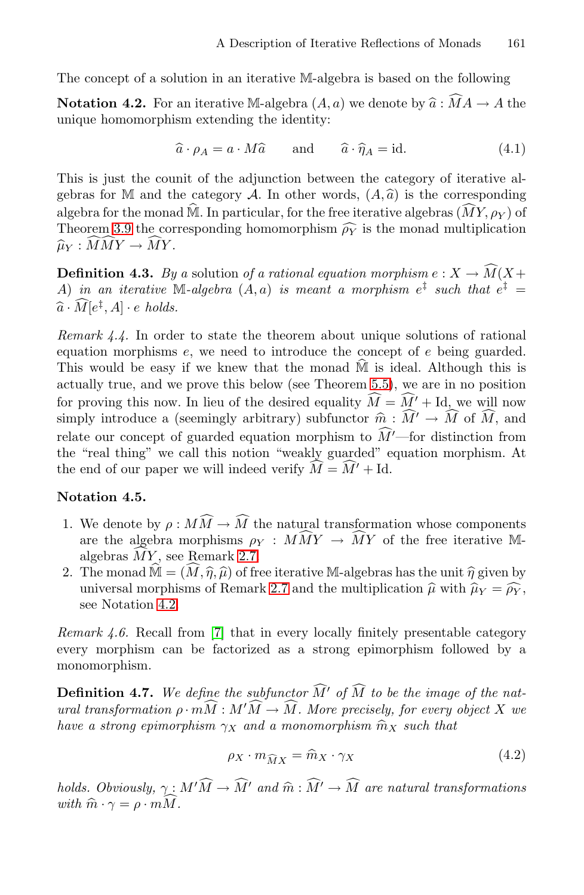The concept of a solution in an iterative M-algebra is based on the following

The concept of a solution in an iterative M-algebra is based on the following<br> **Notation 4.2.** For an iterative M-algebra  $(A, a)$  we denote by  $\hat{a} : \hat{M}A \to A$  the<br>
unique homomorphism extending the identity:<br>  $\hat{a} \cdot \rho_A$ unique homomorphism extending the identity:

<span id="page-9-0"></span>
$$
\hat{a} \cdot \rho_A = a \cdot M \hat{a} \quad \text{and} \quad \hat{a} \cdot \hat{\eta}_A = \text{id}. \tag{4.1}
$$

This is just the counit of the adjunction between the category of iterative al $a \cdot \rho_A = a \cdot Ma$  and  $a \cdot \eta_A = id.$  (4.1)<br>This is just the counit of the adjunction between the category of iterative algebras for M and the category A. In other words,  $(A, \hat{a})$  is the corresponding This is just the counit of the adjunction between the category of iterative gebras for M and the category A. In other words,  $(A, \hat{a})$  is the corresponalgebra for the monad  $\hat{M}$ . In particular, for the free iterative a georas for  $\mathbb M$  and the category A. In other words,  $(A, a)$  is the corresponding<br>algebra for the monad  $\widehat{\mathbb M}$ . In particular, for the free iterative algebras  $(\widehat{M}Y, \rho_Y)$  of<br>Theorem 3.9 the corresponding homomorphi The is just the count of the adjunction between<br>gebras for M and the category A. In other words<br>algebra for the monad  $\widehat{M}$ . In particular, for the free i<br>Theorem [3.9](#page-7-0) the corresponding homomorphism  $\widehat{\rho_Y}$  $\hat{Y}$  is the monad multiplication  $\mathbf{s}$  $\widehat{\mu}_Y: \widetilde{MMY} \to \widetilde{MY}.$ 

**Definition 4.3.** By a solution of a rational equation morphism  $e: X \to \widehat{M}(X +$ A) in an iterative  $\mathbb{M}$ -algebra  $(A, a)$  is meant a morphism  $e^{\ddagger}$  such that  $e^{\ddagger}$  =  $\widehat{a} \cdot M[e^{\ddagger}, A] \cdot e \ holds.$ 

*Remark 4.4.* In order to state the theorem about unique solutions of rational equation morphisms e, we need to introduce the concept of e being guarded. Remark 4.4. In order to state the theorem about unique solutions of rational equation morphisms e, we need to introduce the concept of e being guarded. This would be easy if we knew that the monad  $\hat{M}$  is ideal. Althou actually true, and we prove this below (see Theorem [5.5\)](#page-12-0), we are in no position for proving this now. In lieu of the desired equality  $M = M' + Id$ , we will now encept o simply introduce a (seemingly arbitrary) subfunctor  $\hat{m}$ :  $\hat{M}' \rightarrow \hat{M}$  of  $\hat{M}$ , and simply introduce a (seemingly arbitrary) subfunctor  $\hat{m}$ :  $\hat{M}' \rightarrow \hat{M}$  of  $\hat{M}$ , and eal. Although t relate our concept of guarded equation morphism to  $M'$ —for distinction from  $\cdot^{\mathsf{U}/2}$ the "real thing" we call this notion "weakly guarded" equation morphism. At the end of our paper we will indeed verify  $M = M' + Id$ .

#### **Notation 4.5.**

- <span id="page-9-1"></span>1. We denote by  $\rho: MM \to M$  the natural transformation whose components **tation 4.5.**<br>We denote by  $\rho : M\widehat{M} \to \widehat{M}$  the natural transform<br>are the algebra morphisms  $\rho_Y : M\widehat{M}Y \to \widehat{M}Y$ <br>algebras  $\widehat{M}Y$  are Damark 2.7  $\omega_M \to \omega$  the flatural transformation whose components<br>orphisms  $\rho_Y : M\widetilde{M}Y \to \widetilde{M}Y$  of the free iterative M-<br>Remark 2.7.<br> $\widehat{M}, \widehat{\eta}, \widehat{\mu}$  of free iterative M-algebras has the unit  $\widehat{\eta}$  given by We denote by are the algebras  $\widehat{MY}$ algebras  $\overline{MY}$ , see Remark [2.7.](#page-3-2) 1. We denote by  $\rho : M I$ <br>are the algebra more<br>algebras  $\widehat{M}Y$ , see Re<br>2. The monad  $\widehat{\mathbb{M}} = (\widehat{M},$
- algebras  $\overline{M}Y$ , see Remark [2.7](#page-3-2).<br>algebras  $\overline{M}Y$ , see Remark 2.7.<br>The monad  $\widehat{\mathbb{M}} = (\widehat{M}, \widehat{\eta}, \widehat{\mu})$  of free iterative M-algebras has the unit  $\widehat{\eta}$  given by<br>universal morphisms of Remark 2.7 and the multip universal morphisms of Remark 2.7 and the multiplication  $\hat{\mu}$  with  $\hat{\mu}_Y = \hat{\rho}_Y$ , see Notation [4.2.](#page-9-0)

*Remark 4.6.* Recall from [\[7\]](#page-14-12) that in every locally finitely presentable category every morphism can be factorized as a strong epimorphism followed by a monomorphism.

**Definition 4.7.** We define the subfunctor M' of M to be the image of the nat*ural transformation*  $\rho \cdot mM : M'M \to M$ . More precisely, for every object X we **Definition 4.7.** We define the subfunctor  $\widehat{M}'$  of  $\widehat{M}$  to be the image ural transformation  $\rho \cdot m\widehat{M}: M'\widehat{M} \to \widehat{M}$ . More precisely, for every have a strong epimorphism  $\gamma_X$  and a monomorphism  $\widehat{m}_X$  such  $M'M \to M$ . More precisely, for every object X we<br>  $\chi$  and a monomorphism  $\hat{m}_X$  such that<br>  $\rho_X \cdot m_{\widehat{M}X} = \hat{m}_X \cdot \gamma_X$  (4.2)

<span id="page-9-2"></span>
$$
\rho_X \cdot m_{\widehat{M}X} = \widehat{m}_X \cdot \gamma_X \tag{4.2}
$$

 $\rho_X \cdot m_{\widehat{M}X} = \widehat{m}_X \cdot \gamma_X$  (4.2)<br>holds. Obviously,  $\gamma \colon M' \widehat{M} \to \widehat{M}'$  and  $\widehat{m} \colon \widehat{M}' \to \widehat{M}$  are natural transformations *holds. Obviously*,  $\gamma$ :<br>*with*  $\widehat{m} \cdot \gamma = \rho \cdot mM$ with  $\hat{m} \cdot \gamma = \rho \cdot m \overline{M}$ .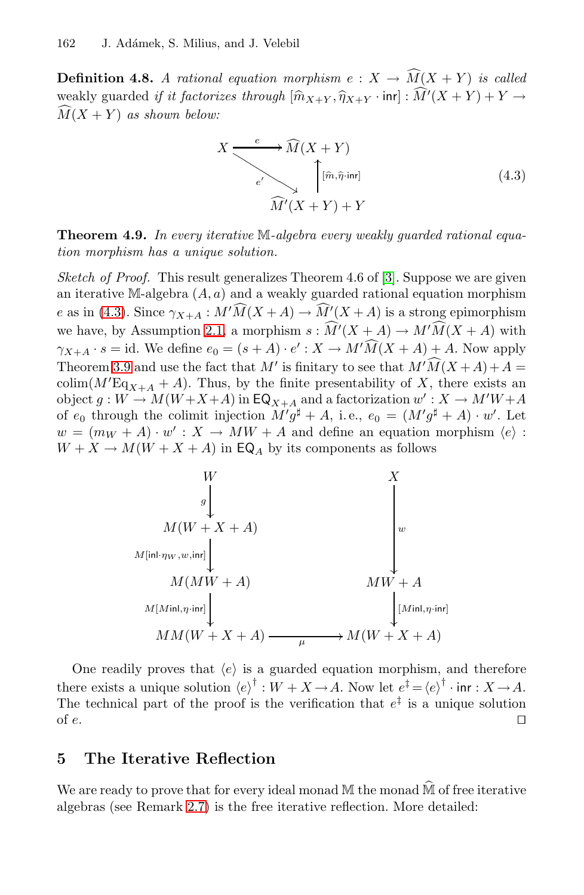**Definition 4.8.** *A rational equation morphism*  $e: X \to M(X + Y)$  *is called* **Definition 4.8.** A rational equation morphism  $e: X \to \widehat{M}$ <br>weakly guarded *if it factorizes through*  $[\widehat{m}_{X+Y}, \widehat{\eta}_{X+Y} \cdot \text{inr}] : \widehat{M}$  $[\widehat{m}_{X+Y}, \widehat{\eta}_{X+Y} \cdot \text{inr}] : M'(X+Y) + Y \rightarrow$  $M(X + Y)$  *as shown below:*  $\mathbf{r}$ 

<span id="page-10-0"></span>
$$
X \xrightarrow{e} \widehat{M}(X+Y)
$$
  
\n
$$
e' \searrow \widehat{\int_{\mathcal{A}} [\widehat{m}, \widehat{\eta} \cdot \text{inr}]} \tag{4.3}
$$
  
\n
$$
\widehat{M}'(X+Y) + Y
$$

<span id="page-10-1"></span>**Theorem 4.9.** *In every iterative* M*-algebra every weakly guarded rational equation morphism has a unique solution.*

*Sketch of Proof.* This result generalizes Theorem 4.6 of [\[3\]](#page-14-2). Suppose we are given Executive M-algebra  $(A, a)$  and a weakly guarded rational equation morphism e as in [\(4.3\)](#page-10-0). Since  $\gamma_{X+A}: M' \widehat{M}(X+A) \to \widehat{M}'(X+A)$  is a strong epimorphism --we have, by Assumption [2.1,](#page-2-0) a morphism  $s : \overline{M}'(X + A) \to M'\overline{M}(X + A)$  with  $\gamma_{X+A} \cdot s = \text{id}$ . We define  $e_0 = (s+A) \cdot e' : X \to M'M(X+A) + A$ . Now apply Theorem [3.9](#page-7-0) and use the fact that M' is finitary to see that  $M'M(X+A)+A=$ colim( $M' \text{Eq}_{X+A} + A$ ). Thus, by the finite presentability of X, there exists an object  $a: W \to M(W+Y+A)$  in  $\text{Eq}_{X \to A}$  and a factorization  $w' : X \to M'W+A$ object  $g: W \to M(W+X+A)$  in  $\mathsf{EQ}_{X+A}$  and a factorization  $w': X \to M'W+A$ <br>of a through the solimit injection  $M'^{A}_{A} + A$  i.e.  $g = (M'^{A}_{A} + A)_{A}$   $w'_{A}$  and of  $e_0$  through the colimit injection  $M' g^{\sharp} + A$ , i.e.,  $e_0 = (M' g^{\sharp} + A) \cdot w'$ . Let  $w = (m_W + A) \cdot w' : X \to MW + A$  and define an equation morphism  $\langle e \rangle$ :  $W + X \rightarrow M(W + X + A)$  in EQ<sub>A</sub> by its components as follows



One readily proves that  $\langle e \rangle$  is a guarded equation morphism, and therefore there exists a unique solution  $\langle e \rangle^{\dagger} : W + X \to A$ . Now let  $e^{\ddagger} = \langle e \rangle^{\dagger} \cdot \text{inr} : X \to A$ . The technical part of the proof is the verification that  $e^{\ddagger}$  is a unique solution of  $e$ . □

### **5 The Iterative Reflection**

We are ready to prove that for every ideal monad M the monad M of free iterative algebras (see Remark [2.7\)](#page-3-2) is the free iterative reflection. More detailed: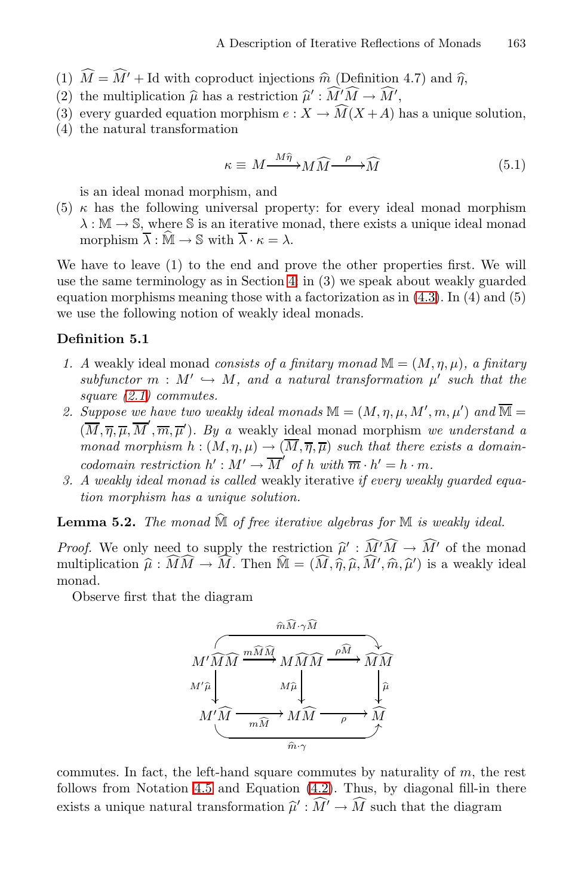- A Description of Iterative Reflections of Mona<br>
(1)  $\widehat{M} = \widehat{M}' + \text{Id}$  with coproduct injections  $\widehat{m}$  (Definition 4.7) and  $\widehat{\eta}$ , (1)  $\widehat{M} = \widehat{M}' + \text{Id}$  with coproduct injections  $\widehat{m}$  (2) the multiplication  $\widehat{\mu}$  has a restriction  $\widehat{\mu}' : \widehat{M}$  $\sqrt{D}$
- $'M \to M',$
- (3) every guarded equation morphism  $e: X \to M(X+A)$  has a unique solution,
- (4) the natural transformation

ion  

$$
\kappa \equiv M \frac{M\hat{\eta}}{}^2 M \widehat{M} \frac{\rho}{\sqrt{M}} \widehat{M}
$$
 (5.1)

is an ideal monad morphism, and

(5)  $\kappa$  has the following universal property: for every ideal monad morphism  $\lambda : \mathbb{M} \to \mathbb{S}$ , where S is an iterative monad, there exists a unique ideal monad morphism  $\overline{\lambda}: \widehat{\mathbb{M}} \to \mathbb{S}$  with  $\overline{\lambda} \cdot \kappa = \lambda$ .

We have to leave (1) to the end and prove the other properties first. We will use the same terminology as in Section [4:](#page-8-0) in (3) we speak about weakly guarded equation morphisms meaning those with a factorization as in  $(4.3)$ . In  $(4)$  and  $(5)$ we use the following notion of weakly ideal monads.

#### **Definition 5.1**

- *1. A* weakly ideal monad *consists of a finitary monad*  $\mathbb{M} = (M, \eta, \mu)$ , a finitary  $subfunctor \, m : M' \hookrightarrow M$ , and a natural transformation  $\mu'$  such that the *square [\(2.1\)](#page-2-1) commutes.*
- 2. Suppose we have two weakly ideal monads  $\mathbb{M} = (M, \eta, \mu, M', m, \mu')$  and  $\overline{\mathbb{M}} =$  $(\overline{M}, \overline{\eta}, \overline{\mu}, \overline{M}', \overline{m}, \overline{\mu}')$ . By a weakly ideal monad morphism we understand a *monad morphism*  $h : (M, \eta, \mu) \to (\overline{M}, \overline{\eta}, \overline{\mu})$  such that there exists a domain*codomain restriction*  $h' : M' \to \overline{M}'$  *of*  $h$  *with*  $\overline{m} \cdot h' = h \cdot m$ *.*
- *3. A weakly ideal monad is called* weakly iterative *if every weakly guarded equation morphism has a unique solution.* 3. A weakly ideal monad is called weakly iterative *if every weakly guarded eq*<br>tion morphism has a unique solution.<br>**Lemma 5.2.** The monad  $\widehat{M}$  of free iterative algebras for  $M$  is weakly ideal.

**Lemma 5.2.** *The monad*  $\hat{M}$  *of free iterative algebras Proof.* We only need to supply the restriction  $\hat{\mu}'$  :  $\hat{M}$  $'M \to M'$  of the monad **Lemma 5.2.** The monad  $M$  of free iterative algebras for  $M$ <br>*Proof.* We only need to supply the restriction  $\hat{\mu}' : \hat{M}' \hat{M} \to$ <br>multiplication  $\hat{\mu} : \hat{M}\hat{M} \to \hat{M}$ . Then  $\hat{M} = (\hat{M}, \hat{\eta}, \hat{\mu}, \hat{M}', \hat{m}, \hat{\mu}')$ monad  $\widehat{M}$  of free iterative algebras<br>ed to supply the restriction  $\widehat{\mu}' : \widehat{M}$ <br> $\widehat{M}\widehat{M} \to \widehat{M}$ . Then  $\widehat{M} = (\widehat{M}, \widehat{\eta}, \widehat{\mu}, \widehat{M})$  $M \to M$ . Then  $\mathbb{M} = (M, \hat{\eta}, \hat{\mu}, M', \hat{m}, \hat{\mu}')$  is a weakly ideal monad.

Observe first that the diagram



commutes. In fact, the left-hand square commutes by naturality of  $m$ , the rest follows from Notation [4.5](#page-9-1) and Equation [\(4.2\)](#page-9-2). Thus, by diagonal fill-in there commutes. In fact, the left-hand square commutes by naturality of m, the follows from Notation 4.5 and Equation (4.2). Thus, by diagonal fill-in t exists a unique natural transformation  $\hat{\mu}' : \hat{M}' \to \hat{M}$  such that the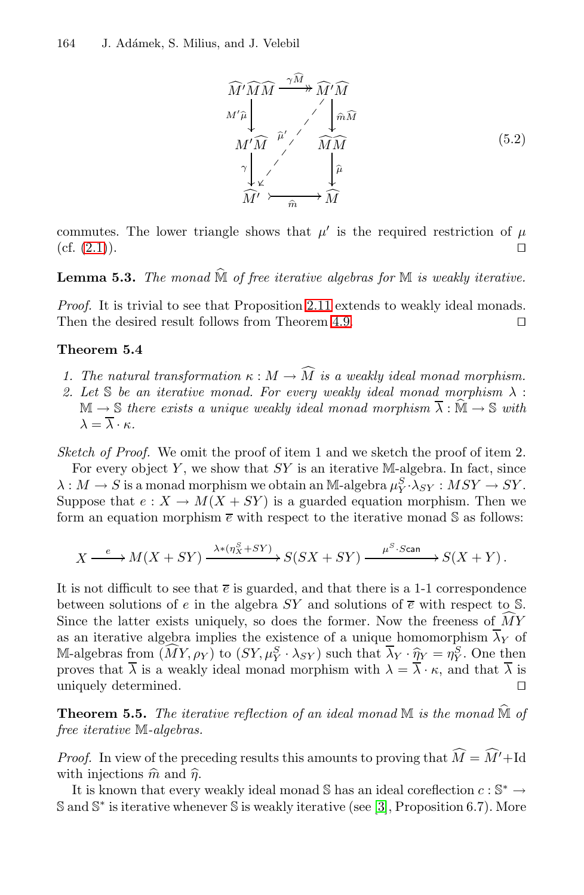

commutes. The lower triangle shows that  $\mu'$  is the required restriction of  $\mu$  $(cf. (2.1)).$  $(cf. (2.1)).$  $(cf. (2.1)).$  $\Box$ 

**Lemma 5.3.** *The monad* <sup>M</sup> *of free iterative algebras for* <sup>M</sup> *is weakly iterative.*

*Proof.* It is trivial to see that Proposition [2.11](#page-4-0) extends to weakly ideal monads. Then the desired result follows from Theorem [4.9.](#page-10-1)  $\Box$  $\Box$ 

#### <span id="page-12-1"></span>**Theorem 5.4**

- *1. The natural transformation*  $\kappa : M \to M$  *is a weakly ideal monad morphism.*
- 2. Let S *be an iterative monad. For every weakly ideal monad morphism*  $\lambda$ : The natural transformation  $\kappa : M \to \widehat{M}$  is a weakly ideal monad morphism.<br>Let S be an iterative monad. For every weakly ideal monad morphism  $\lambda : \mathbb{M} \to \mathbb{S}$  there exists a unique weakly ideal monad morphism  $\overline{\lambda}$  $\lambda = \overline{\lambda} \cdot \kappa$ .

*Sketch of Proof.* We omit the proof of item 1 and we sketch the proof of item 2.

For every object Y, we show that  $SY$  is an iterative M-algebra. In fact, since  $\lambda: M \to S$  is a monad morphism we obtain an M-algebra  $\mu_Y^S \cdot \lambda_{SY} : MSY \to SY$ .<br>Suppose that  $e: X \to M(X + SY)$  is a guarded equation morphism. Then we Suppose that  $e: X \to M(X+SY)$  is a guarded equation morphism. Then we form an equation morphism  $\bar{e}$  with respect to the iterative monad S as follows:

$$
X \xrightarrow{e} M(X+SY) \xrightarrow{\lambda * (\eta_X^S + SY)} S(SX+SY) \xrightarrow{\mu^S \cdot \text{Scan}} S(X+Y).
$$

It is not difficult to see that  $\bar{e}$  is guarded, and that there is a 1-1 correspondence between solutions of e in the algebra  $SY$  and solutions of  $\overline{e}$  with respect to S. It is not difficult to see that  $\overline{e}$  is guarded, and that there is a 1-1 correspondence<br>between solutions of  $e$  in the algebra  $SY$  and solutions of  $\overline{e}$  with respect to S<br>Since the latter exists uniquely, so does Since the latter exists uniquely, so does the former. Now the freeness of MY as an iterative algebra implies the existence of a unique homomorphism  $\overline{\lambda}_Y$  of between solutions of e in the algebra  $SY$  and solutions of  $\bar{e}$  with respect to S.<br>
Since the latter exists uniquely, so does the former. Now the freeness of  $\widehat{M}Y$ <br>
as an iterative algebra implies the existence of proves that  $\overline{\lambda}$  is a weakly ideal monad morphism with  $\lambda = \overline{\lambda} \cdot \kappa$ , and that  $\overline{\lambda}$  is uniquely determined.<br> **Theorem 5.5.** *The iterative reflection of an ideal monad* M *is the monad*  $\hat{M}$  *of* uniquely determined.  $\Box$ 

<span id="page-12-0"></span>*free iterative* M*-algebras.*  $\it{monad}$ 

*Proof.* In view of the preceding results this amounts to proving that  $M = M' + \text{Id}$ free *iterative* M-algebras.<br>*Proof.* In view of the pree with injections  $\hat{m}$  and  $\hat{\eta}$ .

It is known that every weakly ideal monad S has an ideal coreflection  $c : \mathbb{S}^* \to$ S and S<sup>∗</sup> is iterative whenever S is weakly iterative (see [\[3\]](#page-14-2), Proposition 6.7). More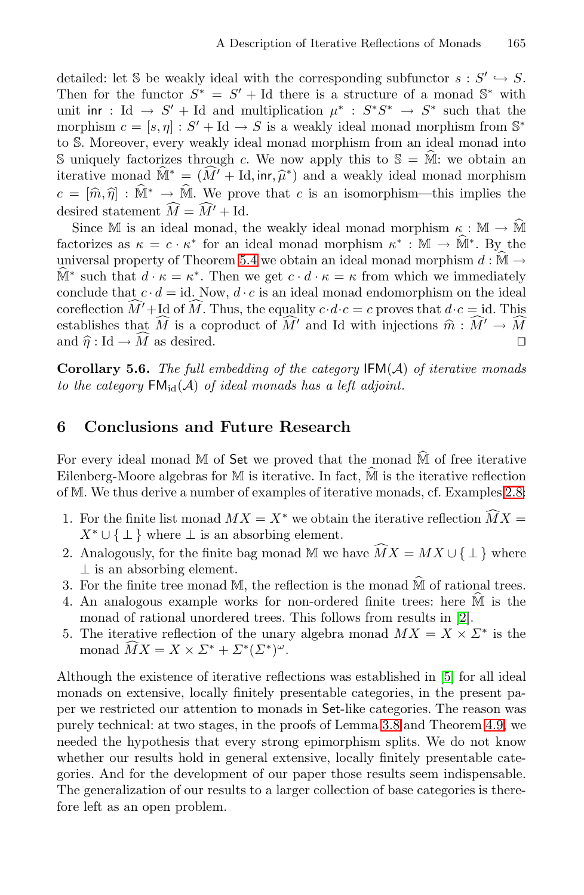detailed: let S be weakly ideal with the corresponding subfunctor  $s : S' \hookrightarrow S$ . Then for the functor  $S^* = S' + Id$  there is a structure of a monad  $\mathbb{S}^*$  with unit inr : Id  $\rightarrow S' +$ Id and multiplication  $\mu^* : S^*S^* \rightarrow S^*$  such that the unit in  $c = [s, \eta] : S' + \text{Id} \to S$  is a weakly ideal monad morphism from  $\mathbb{S}^*$  to S. Moreover, every weakly ideal monad morphism from an ideal monad into S uniquely factorizes through c. We now apply this to  $\mathbb{S} = \hat{\math$ to S. Moreover, every weakly ideal monad morphism from an ideal monad into morphism  $c = [s, \eta] : S' + \text{Id} \to S$  is a weakly ideal monad morphism from  $\mathbb{S}^*$  to S. Moreover, every weakly ideal monad morphism from an ideal monad into S uniquely factorizes through c. We now apply this to  $\mathbb{S} = \widehat$  $+$ to s. Moreover, every weakly ideal monad morphism from an ideal monad into<br>S uniquely factorizes through c. We now apply this to  $\mathbb{S} = \hat{\mathbb{M}}$ : we obtain an<br>iterative monad  $\hat{\mathbb{M}}^* = (\hat{M}' + \text{Id}, \text{inr}, \hat{\mu}^*)$  and a desired statement  $M = M' + Id$ .  $\frac{1}{\sqrt{2}}$  $c = [\hat{m}, \hat{\eta}] : \hat{M}^* \to \hat{M}$ . We prove that c is an isomorphism—this implies the desired statement  $\widehat{M} = \widehat{M}' + \text{Id}$ .<br>Since M is an ideal monad, the weakly ideal monad morphism  $\kappa : \mathbb{M} \to \hat{\mathbb{M}}$ 

 $f_c = [m, \eta] : \mathbb{N}^n \to \mathbb{N}^n$ . We prove that c is an isomorphism—this implies the desired statement  $\widehat{M} = \widehat{M}' + \text{Id}$ .<br>Since M is an ideal monad, the weakly ideal monad morphism  $\kappa : \mathbb{M} \to \widehat{\mathbb{M}}^*$  factorizes a desired statement  $M = M' + \text{Id}$ .<br>
Since M is an ideal monad, the weakly ideal monad morphism  $\kappa : \mathbb{M} \to \widehat{\mathbb{M}}^*$  factorizes as  $\kappa = c \cdot \kappa^*$  for an ideal monad morphism  $\kappa^* : \mathbb{M} \to \widehat{\mathbb{M}}^*$ . By the universal Since M is an ideal monad, the weakly ideal monad morphism  $\kappa$ : M  $\rightarrow$  M<br>factorizes as  $\kappa = c \cdot \kappa^*$  for an ideal monad morphism  $\kappa^*$ : M  $\rightarrow \hat{M}^*$ . By the<br>universal property of Theorem 5.4 we obtain an ideal monad For such that  $a \cdot \kappa = \kappa$ . Then we get  $c \cdot a \cdot \kappa = \kappa$  from which we immediately conclude that  $c \cdot d = id$ . Now,  $d \cdot c$  is an ideal monad endomorphism on the ideal coreflection  $\widehat{M}' + \text{Id}$  of  $\widehat{M}$ . Thus, the equality conclude that  $c \cdot a = a$ . Now,  $a \cdot c$  is an ideal monad endomorphism on the ideal<br>coreflection  $\widehat{M}' + \text{Id}$  of  $\widehat{M}$ . Thus, the equality  $c \cdot d \cdot c = c$  proves that  $d \cdot c = \text{id}$ . This<br>establishes that  $\widehat{M}$  is a coproduc perty of The establishes that M is a coproduct of M' and Id with injections  $\hat{m}: M' \to M$  $\kappa = \kappa^*$ . Then we get  $c \cdot d \cdot \kappa = \kappa$  from which we immediately  $\frac{c}{c}$ and  $\hat{\eta}$ : Id  $\rightarrow$  *M* as desired. □

**Corollary 5.6.** *The full embedding of the category* IFM(A) *of iterative monads to the category*  $FM_{id}(A)$  *of ideal monads has a left adjoint.* 

#### **6 Conclusions and Future Research**

**6** Conclusions and Future Research<br>For every ideal monad M of Set we proved that the monad  $\widehat{M}$  of free iterative **6** Conclusions and Future Research<br>For every ideal monad M of Set we proved that the monad  $\hat{M}$  of free iterative<br>Eilenberg-Moore algebras for M is iterative. In fact,  $\hat{M}$  is the iterative reflection of M. We thus derive a number of examples of iterative monads, cf. Examples [2.8:](#page-3-1) Eilenberg-Moore algebras for M is iterative. In fact,  $\hat{M}$  is the iterative reflection of M. We thus derive a number of examples of iterative monads, cf. Examples 2.8:<br>1. For the finite list monad  $MX = X^*$  we obtain the

- $X^* \cup \{\perp\}$  where  $\perp$  is an absorbing element. 1. For the finite list monad  $MX = X^*$  we obtain the iteration  $X^* \cup \{\perp\}$  where  $\perp$  is an absorbing element.<br>2. Analogously, for the finite bag monad M we have  $\widehat{MX}$
- 2. Analogously, for the finite bag monad M we have  $\widehat{MX} = MX \cup {\perp}$  where  $\perp$  is an absorbing element. 3. Analogously, for the finite bag monad M we have  $\widehat{M}X = MX \cup \{\perp\}$  where  $\perp$  is an absorbing element.<br>3. For the finite tree monad M, the reflection is the monad  $\widehat{M}$  of rational trees. 2. Analogously, for the finite bag monad MI we have  $MX = MX \cup \{\perp\}$  where  $\perp$  is an absorbing element.<br>3. For the finite tree monad M, the reflection is the monad  $\hat{M}$  of rational trees.<br>4. An analogous example works f
- 
- monad of rational unordered trees. This follows from results in [\[2\]](#page-14-4).
- 5. The iterative reflection of the unary algebra monad  $MX = X \times \Sigma^*$  is the An analogo<br>monad of ra<br>The iterativ<br>monad  $\widehat{M}X$ monad  $MX = X \times \Sigma^* + \Sigma^* (\Sigma^*)^\omega$ .

Although the existence of iterative reflections was established in [\[5\]](#page-14-5) for all ideal monads on extensive, locally finitely presentable categories, in the present paper we restricted our attention to monads in Set-like categories. The reason was purely technical: at two stages, in the proofs of Lemma [3.8](#page-7-1) and Theorem [4.9,](#page-10-1) we needed the hypothesis that every strong epimorphism splits. We do not know whether our results hold in general extensive, locally finitely presentable categories. And for the development of our paper those results seem indispensable. The generalization of our results to a larger collection of base categories is therefore left as an open problem.